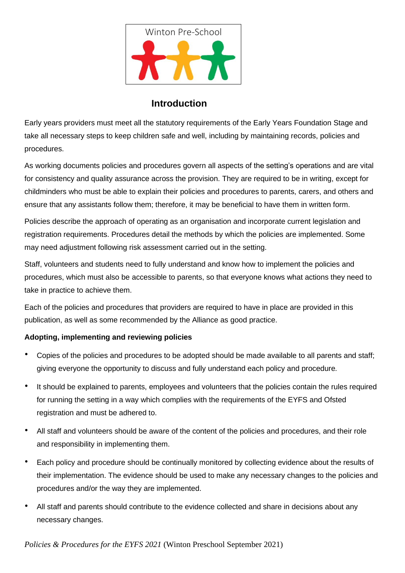

## **Introduction**

Early years providers must meet all the statutory requirements of the Early Years Foundation Stage and take all necessary steps to keep children safe and well, including by maintaining records, policies and procedures.

As working documents policies and procedures govern all aspects of the setting's operations and are vital for consistency and quality assurance across the provision. They are required to be in writing, except for childminders who must be able to explain their policies and procedures to parents, carers, and others and ensure that any assistants follow them; therefore, it may be beneficial to have them in written form.

Policies describe the approach of operating as an organisation and incorporate current legislation and registration requirements. Procedures detail the methods by which the policies are implemented. Some may need adjustment following risk assessment carried out in the setting.

Staff, volunteers and students need to fully understand and know how to implement the policies and procedures, which must also be accessible to parents, so that everyone knows what actions they need to take in practice to achieve them.

Each of the policies and procedures that providers are required to have in place are provided in this publication, as well as some recommended by the Alliance as good practice.

## **Adopting, implementing and reviewing policies**

- Copies of the policies and procedures to be adopted should be made available to all parents and staff; giving everyone the opportunity to discuss and fully understand each policy and procedure*.*
- It should be explained to parents, employees and volunteers that the policies contain the rules required for running the setting in a way which complies with the requirements of the EYFS and Ofsted registration and must be adhered to.
- All staff and volunteers should be aware of the content of the policies and procedures, and their role and responsibility in implementing them.
- Each policy and procedure should be continually monitored by collecting evidence about the results of their implementation. The evidence should be used to make any necessary changes to the policies and procedures and/or the way they are implemented.
- All staff and parents should contribute to the evidence collected and share in decisions about any necessary changes.

*Policies & Procedures for the EYFS 2021* (Winton Preschool September 2021)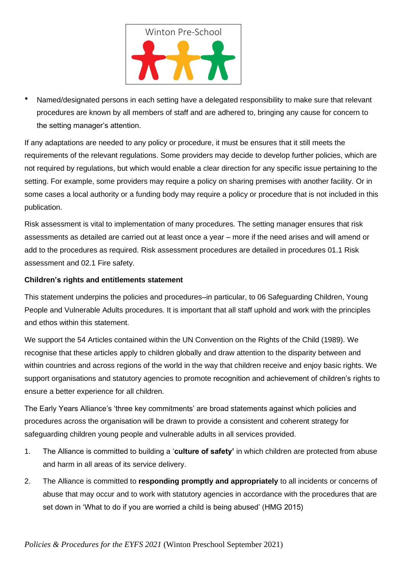

• Named/designated persons in each setting have a delegated responsibility to make sure that relevant procedures are known by all members of staff and are adhered to, bringing any cause for concern to the setting manager's attention.

If any adaptations are needed to any policy or procedure, it must be ensures that it still meets the requirements of the relevant regulations. Some providers may decide to develop further policies, which are not required by regulations, but which would enable a clear direction for any specific issue pertaining to the setting. For example, some providers may require a policy on sharing premises with another facility. Or in some cases a local authority or a funding body may require a policy or procedure that is not included in this publication.

Risk assessment is vital to implementation of many procedures. The setting manager ensures that risk assessments as detailed are carried out at least once a year – more if the need arises and will amend or add to the procedures as required. Risk assessment procedures are detailed in procedures 01.1 Risk assessment and 02.1 Fire safety.

## **Children's rights and entitlements statement**

This statement underpins the policies and procedures–in particular, to 06 Safeguarding Children, Young People and Vulnerable Adults procedures. It is important that all staff uphold and work with the principles and ethos within this statement.

We support the 54 Articles contained within the UN Convention on the Rights of the Child (1989). We recognise that these articles apply to children globally and draw attention to the disparity between and within countries and across regions of the world in the way that children receive and enjoy basic rights. We support organisations and statutory agencies to promote recognition and achievement of children's rights to ensure a better experience for all children.

The Early Years Alliance's 'three key commitments' are broad statements against which policies and procedures across the organisation will be drawn to provide a consistent and coherent strategy for safeguarding children young people and vulnerable adults in all services provided.

- 1. The Alliance is committed to building a '**culture of safety'** in which children are protected from abuse and harm in all areas of its service delivery.
- 2. The Alliance is committed to **responding promptly and appropriately** to all incidents or concerns of abuse that may occur and to work with statutory agencies in accordance with the procedures that are set down in 'What to do if you are worried a child is being abused' (HMG 2015)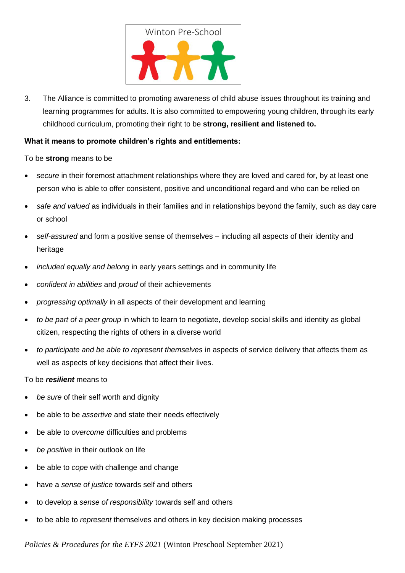

3. The Alliance is committed to promoting awareness of child abuse issues throughout its training and learning programmes for adults. It is also committed to empowering young children, through its early childhood curriculum, promoting their right to be **strong, resilient and listened to.**

## **What it means to promote children's rights and entitlements:**

To be **strong** means to be

- *secure* in their foremost attachment relationships where they are loved and cared for, by at least one person who is able to offer consistent, positive and unconditional regard and who can be relied on
- *safe and valued* as individuals in their families and in relationships beyond the family, such as day care or school
- *self-assured* and form a positive sense of themselves including all aspects of their identity and heritage
- *included equally and belong* in early years settings and in community life
- *confident in abilities* and *proud* of their achievements
- *progressing optimally* in all aspects of their development and learning
- *to be part of a peer group* in which to learn to negotiate, develop social skills and identity as global citizen, respecting the rights of others in a diverse world
- *to participate and be able to represent themselves* in aspects of service delivery that affects them as well as aspects of key decisions that affect their lives.

To be *resilient* means to

- *be sure* of their self worth and dignity
- be able to be *assertive* and state their needs effectively
- be able to *overcome* difficulties and problems
- *be positive* in their outlook on life
- be able to *cope* with challenge and change
- have a *sense of justice* towards self and others
- to develop a *sense of responsibility* towards self and others
- to be able to *represent* themselves and others in key decision making processes

*Policies & Procedures for the EYFS 2021* (Winton Preschool September 2021)